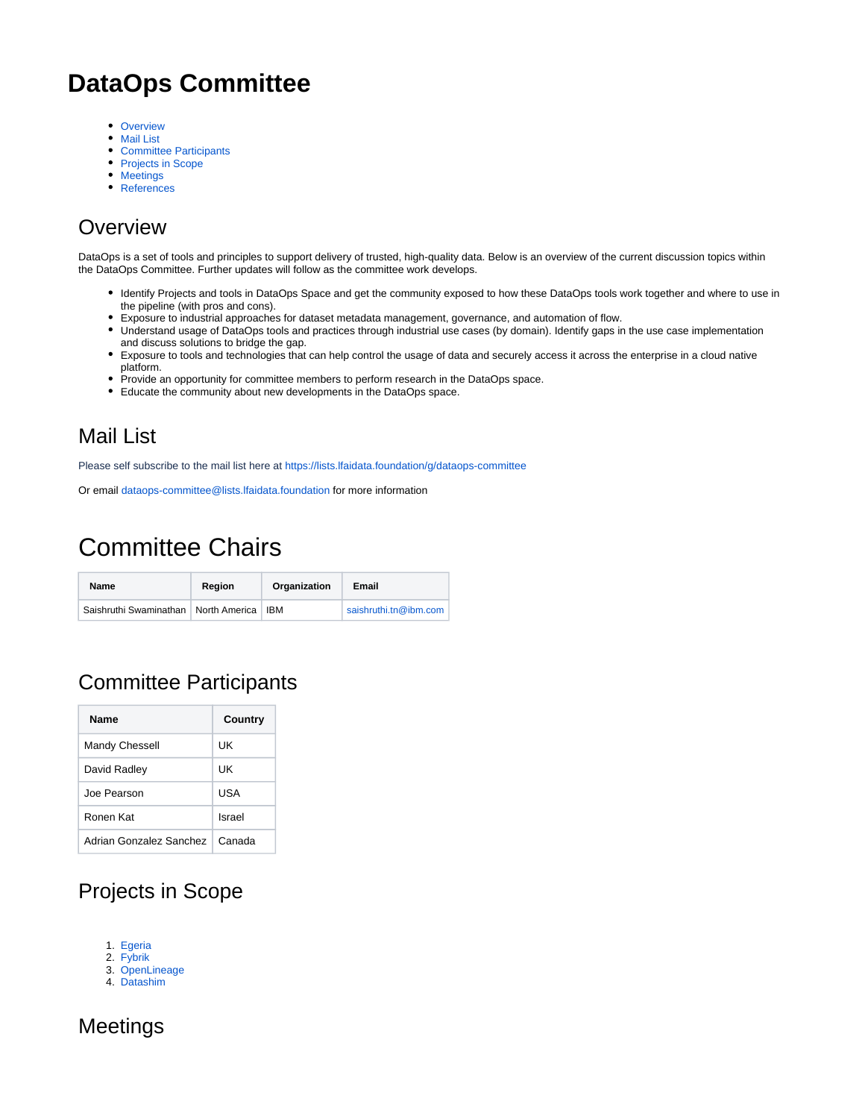# **DataOps Committee**

- [Overview](#page-0-0)
- [Mail List](#page-0-1)
- [Committee Participants](#page-0-2)
- [Projects in Scope](#page-0-3) • [Meetings](#page-0-4)
- 
- [References](#page-1-0)

# <span id="page-0-0"></span>**Overview**

DataOps is a set of tools and principles to support delivery of trusted, high-quality data. Below is an overview of the current discussion topics within the DataOps Committee. Further updates will follow as the committee work develops.

- Identify Projects and tools in DataOps Space and get the community exposed to how these DataOps tools work together and where to use in the pipeline (with pros and cons).
- Exposure to industrial approaches for dataset metadata management, governance, and automation of flow.
- Understand usage of DataOps tools and practices through industrial use cases (by domain). Identify gaps in the use case implementation and discuss solutions to bridge the gap.
- Exposure to tools and technologies that can help control the usage of data and securely access it across the enterprise in a cloud native platform.
- Provide an opportunity for committee members to perform research in the DataOps space.
- Educate the community about new developments in the DataOps space.

### <span id="page-0-1"></span>Mail List

Please self subscribe to the mail list here at <https://lists.lfaidata.foundation/g/dataops-committee>

Or email [dataops-committee@lists.lfaidata.foundation](mailto:dataops-committee@lists.lfaidata.foundation) for more information

# Committee Chairs

| Name                                         | Region | Organization | Email                 |
|----------------------------------------------|--------|--------------|-----------------------|
| Saishruthi Swaminathan   North America   IBM |        |              | saishruthi.tn@ibm.com |

## <span id="page-0-2"></span>Committee Participants

| Name                    | Country |
|-------------------------|---------|
| Mandy Chessell          | UK      |
| David Radley            | UΚ      |
| Joe Pearson             | USA     |
| Ronen Kat               | Israel  |
| Adrian Gonzalez Sanchez | Canada  |

## <span id="page-0-3"></span>Projects in Scope

- 1. [Egeria](https://egeria-project.org/)
- 2. [Fybrik](https://fybrik.io/v0.6/)
- 3. [OpenLineage](https://lfaidata.foundation/projects/project/openlineage/)
- 4. [Datashim](https://lfaidata.foundation/projects/project/datashim/)

### <span id="page-0-4"></span>Meetings